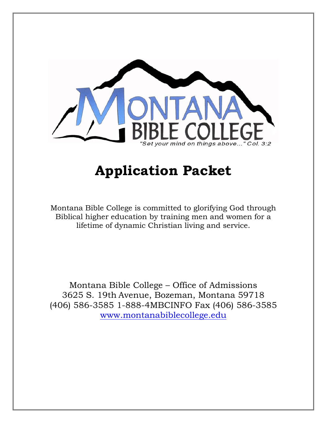

# **Application Packet**

Montana Bible College is committed to glorifying God through Biblical higher education by training men and women for a lifetime of dynamic Christian living and service.

Montana Bible College – Office of Admissions 3625 S. 19th Avenue, Bozeman, Montana 59718 (406) 586-3585 1-888-4MBCINFO Fax (406) 586-3585 [www.montanabiblecollege.edu](http://www.montanabiblecollege.edu/)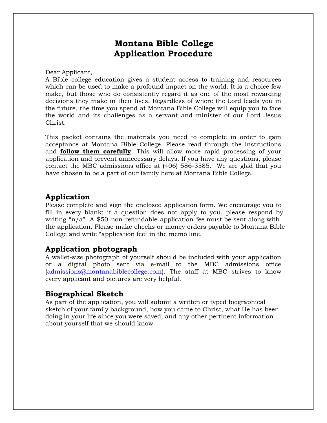## **Montana Bible College Application Procedure**

Dear Applicant,

A Bible college education gives a student access to training and resources which can be used to make a profound impact on the world. It is a choice few make, but those who do consistently regard it as one of the most rewarding decisions they make in their lives. Regardless of where the Lord leads you in the future, the time you spend at Montana Bible College will equip you to face the world and its challenges as a servant and minister of our Lord Jesus Christ.

This packet contains the materials you need to complete in order to gain acceptance at Montana Bible College. Please read through the instructions and **follow them carefully**. This will allow more rapid processing of your application and prevent unnecessary delays. If you have any questions, please contact the MBC admissions office at (406) 586-3585. We are glad that you have chosen to be a part of our family here at Montana Bible College.

## **Application**

Please complete and sign the enclosed application form. We encourage you to fill in every blank; if a question does not apply to you, please respond by writing "n/a". A \$50 non-refundable application fee must be sent along with the application. Please make checks or money orders payable to Montana Bible College and write "application fee" in the memo line.

## **Application photograph**

A wallet-size photograph of yourself should be included with your application or a digital photo sent via e-mail to the MBC admissions office  $(admissions@montanabile college.com)$ . The staff at MBC strives to know every applicant and pictures are very helpful.

### **Biographical Sketch**

As part of the application, you will submit a written or typed biographical sketch of your family background, how you came to Christ, what He has been doing in your life since you were saved, and any other pertinent information about yourself that we should know.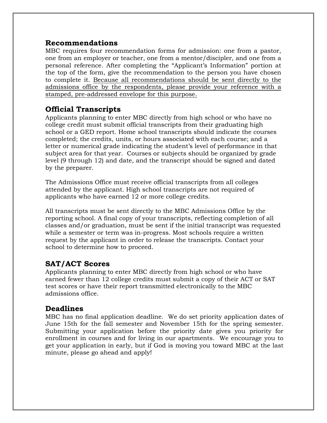### **Recommendations**

MBC requires four recommendation forms for admission: one from a pastor, one from an employer or teacher, one from a mentor/discipler, and one from a personal reference. After completing the "Applicant's Information" portion at the top of the form, give the recommendation to the person you have chosen to complete it. Because all recommendations should be sent directly to the admissions office by the respondents, please provide your reference with a stamped, pre-addressed envelope for this purpose.

## **Official Transcripts**

Applicants planning to enter MBC directly from high school or who have no college credit must submit official transcripts from their graduating high school or a GED report. Home school transcripts should indicate the courses completed; the credits, units, or hours associated with each course; and a letter or numerical grade indicating the student's level of performance in that subject area for that year. Courses or subjects should be organized by grade level (9 through 12) and date, and the transcript should be signed and dated by the preparer.

The Admissions Office must receive official transcripts from all colleges attended by the applicant. High school transcripts are not required of applicants who have earned 12 or more college credits.

All transcripts must be sent directly to the MBC Admissions Office by the reporting school. A final copy of your transcripts, reflecting completion of all classes and/or graduation, must be sent if the initial transcript was requested while a semester or term was in-progress. Most schools require a written request by the applicant in order to release the transcripts. Contact your school to determine how to proceed.

## **SAT/ACT Scores**

Applicants planning to enter MBC directly from high school or who have earned fewer than 12 college credits must submit a copy of their ACT or SAT test scores or have their report transmitted electronically to the MBC admissions office.

### **Deadlines**

MBC has no final application deadline. We do set priority application dates of June 15th for the fall semester and November 15th for the spring semester. Submitting your application before the priority date gives you priority for enrollment in courses and for living in our apartments. We encourage you to get your application in early, but if God is moving you toward MBC at the last minute, please go ahead and apply!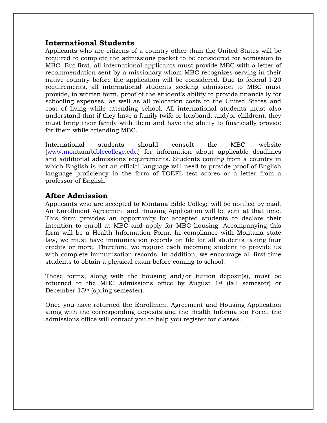### **International Students**

Applicants who are citizens of a country other than the United States will be required to complete the admissions packet to be considered for admission to MBC. But first, all international applicants must provide MBC with a letter of recommendation sent by a missionary whom MBC recognizes serving in their native country before the application will be considered. Due to federal I-20 requirements, all international students seeking admission to MBC must provide, in written form, proof of the student's ability to provide financially for schooling expenses, as well as all relocation costs to the United States and cost of living while attending school. All international students must also understand that if they have a family (wife or husband, and/or children), they must bring their family with them and have the ability to financially provide for them while attending MBC.

International students should consult the MBC website [\(www.montanabiblecollege.edu](http://www.montanabiblecollege.edu/)) for information about applicable deadlines and additional admissions requirements. Students coming from a country in which English is not an official language will need to provide proof of English language proficiency in the form of TOEFL test scores or a letter from a professor of English.

### **After Admission**

Applicants who are accepted to Montana Bible College will be notified by mail. An Enrollment Agreement and Housing Application will be sent at that time. This form provides an opportunity for accepted students to declare their intention to enroll at MBC and apply for MBC housing. Accompanying this form will be a Health Information Form. In compliance with Montana state law, we must have immunization records on file for all students taking four credits or more. Therefore, we require each incoming student to provide us with complete immunization records. In addition, we encourage all first-time students to obtain a physical exam before coming to school.

These forms, along with the housing and/or tuition deposit(s), must be returned to the MBC admissions office by August 1st (fall semester) or December 15th (spring semester).

Once you have returned the Enrollment Agreement and Housing Application along with the corresponding deposits and the Health Information Form, the admissions office will contact you to help you register for classes.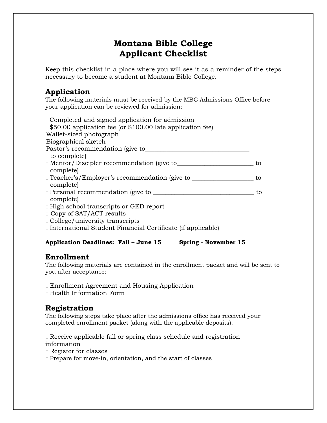## **Montana Bible College Applicant Checklist**

Keep this checklist in a place where you will see it as a reminder of the steps necessary to become a student at Montana Bible College.

## **Application**

The following materials must be received by the MBC Admissions Office before your application can be reviewed for admission:

| Completed and signed application for admission<br>\$50.00 application fee (or \$100.00 late application fee) |    |
|--------------------------------------------------------------------------------------------------------------|----|
| Wallet-sized photograph                                                                                      |    |
| Biographical sketch                                                                                          |    |
| Pastor's recommendation (give to                                                                             |    |
| to complete)                                                                                                 |    |
| <b>If Mentor/Discipler recommendation (give to</b>                                                           | tο |
| complete)                                                                                                    |    |
| □ Teacher's/Employer's recommendation (give to                                                               | to |
| complete)                                                                                                    |    |
| <b>Example 2</b> Personal recommendation (give to <u>see</u>                                                 | tο |
| complete)                                                                                                    |    |
| □ High school transcripts or GED report                                                                      |    |
|                                                                                                              |    |

- Copy of SAT/ACT results
- College/university transcripts
- International Student Financial Certificate (if applicable)

### **Application Deadlines: Fall – June 15 Spring - November 15**

## **Enrollment**

The following materials are contained in the enrollment packet and will be sent to you after acceptance:

- Enrollment Agreement and Housing Application
- Health Information Form

## **Registration**

The following steps take place after the admissions office has received your completed enrollment packet (along with the applicable deposits):

 Receive applicable fall or spring class schedule and registration information

- Register for classes
- Prepare for move-in, orientation, and the start of classes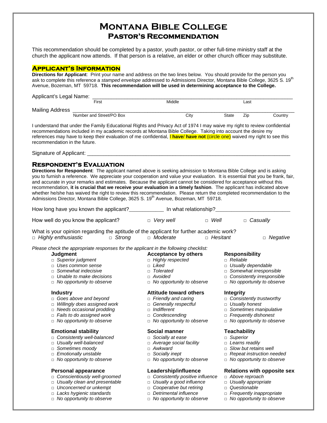## **Montana Bible College Pastor's Recommendation**

This recommendation should be completed by a pastor, youth pastor, or other full-time ministry staff at the church the applicant now attends. If that person is a relative, an elder or other church officer may substitute.

### **Applicant's Information**

**Directions for Applicant**: Print your name and address on the two lines below. You should provide for the person you ask to complete this reference a *stamped envelope* addressed to Admissions Director, Montana Bible College, 3625 S. 19<sup>th</sup> Avenue, Bozeman, MT 59718. **This recommendation will be used in determining acceptance to the College.**

| Applicant's Legal Name: |                          |        |       |      |         |
|-------------------------|--------------------------|--------|-------|------|---------|
|                         | First                    | Middle |       | Last |         |
| Mailing Address         |                          |        |       |      |         |
|                         | Number and Street/PO Box | City   | State | Zip  | Country |

I understand that under the Family Educational Rights and Privacy Act of 1974 I may waive my right to review confidential recommendations included in my academic records at Montana Bible College. Taking into account the desire my references may have to keep their evaluation of me confidential, I **have**/ **have not** (circle one) waived my right to see this recommendation in the future.

Signature of Applicant:

### **Respondent's Evaluation**

**Directions for Respondent**: The applicant named above is seeking admission to Montana Bible College and is asking you to furnish a reference. We appreciate your cooperation and value your evaluation. It is essential that you be frank, fair, and accurate in your remarks and estimates. Because the applicant cannot be considered for acceptance without this recommendation, **it is crucial that we receive your evaluation in a timely fashion**. The applicant has indicated above whether he/she has waived the right to review this recommendation. Please return the completed recommendation to the Admissions Director, Montana Bible College, 3625 S. 19<sup>th</sup> Avenue, Bozeman, MT 59718.

| How long have you known the applicant?_____________                                     | In what relationship?_           |                                      |
|-----------------------------------------------------------------------------------------|----------------------------------|--------------------------------------|
| How well do you know the applicant?                                                     | $\Box$ Very well                 | $\Box$ Well<br>□ Casually            |
| What is your opinion regarding the aptitude of the applicant for further academic work? |                                  |                                      |
| □ Highly enthusiastic                                                                   | $\Box$ Strong<br>□ Moderate      | $\Box$ Hesitant<br>□ Negative        |
| Please check the appropriate responses for the applicant in the following checklist:    |                                  |                                      |
| Judgment                                                                                | <b>Acceptance by others</b>      | <b>Responsibility</b>                |
| □ Superior judgment                                                                     | <b>dighly respected</b>          | $\Box$ Reliable                      |
| □ Uses common sense                                                                     | $\Box$ Liked                     | <b>Usually dependable</b>            |
| $\Box$ Somewhat indecisive                                                              | □ Tolerated                      | $\Box$ Somewhat irresponsible        |
| $\Box$ Unable to make decisions                                                         | $\Box$ Avoided                   | Consistently irresponsible<br>$\Box$ |
| $\Box$ No opportunity to observe                                                        | $\Box$ No opportunity to observe | $\Box$ No opportunity to observe     |
| <b>Industry</b>                                                                         | <b>Attitude toward others</b>    | <b>Integrity</b>                     |
| $\Box$ Goes above and beyond                                                            | $\Box$ Friendly and caring       | $\Box$ Consistently trustworthy      |
| $\Box$ Willingly does assigned work                                                     | □ Generally respectful           | <b>Usually honest</b>                |
| $\Box$ Needs occasional prodding                                                        | Indifferent<br>$\Box$            | $\Box$ Sometimes manipulative        |
| $\Box$ Fails to do assigned work                                                        | □ Condescending                  | $\Box$ Frequently dishonest          |
| $\Box$ No opportunity to observe                                                        | $\Box$ No opportunity to observe | $\Box$ No opportunity to observe     |
| <b>Emotional stability</b>                                                              | Social manner                    | <b>Teachability</b>                  |
| c Consistently well-balanced                                                            | □ Socially at ease               | □ Superior                           |
| □ Usually well-balanced                                                                 | $\Box$ Average social facility   | $\Box$ Learns readily                |
| $\Box$ Sometimes moody                                                                  | □ Awkward                        | $\Box$ Slow but retains well         |

- □ *Emotionally unstable* □ *Socially inept* □ *Repeat instruction needed*
- □ *No opportunity to observe* □ *No opportunity to observe* □ *No opportunity to observe*

- □ *Conscientiously well-groomed* □ *Consistently positive influence* □ *Above reproach*
- □ *Usually clean and presentable* □ *Usually a good influence* □ *Usually appropriate*
- □ *Unconcerned or unkempt* □ *Cooperative but retiring* □ *Questionable*
- □ *Lacks hygienic standards* □ *Detrimental influence* □ *Frequently inappropriate*
- 
- 
- 
- 

### **Personal appearance Leadership/influence Relations with opposite sex**

- 
- 
- 
- 
- □ *No opportunity to observe* □ *No opportunity to observe* □ *No opportunity to observe*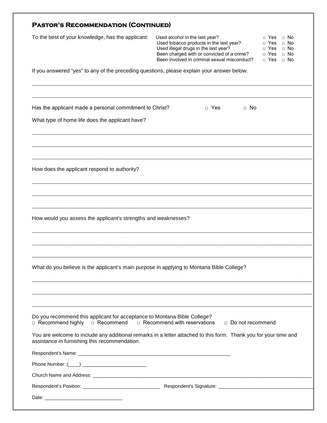| <b>PASTOR'S RECOMMENDATION (CONTINUED)</b>                                                                                                                          |                                                                                                                                                                                                                                                                                                                                                   |
|---------------------------------------------------------------------------------------------------------------------------------------------------------------------|---------------------------------------------------------------------------------------------------------------------------------------------------------------------------------------------------------------------------------------------------------------------------------------------------------------------------------------------------|
| To the best of your knowledge, has the applicant:                                                                                                                   | Used alcohol in the last year?<br>$\Box$ No<br>□ Yes<br>Used tobacco products in the last year?<br>$\Box$ No<br><b>Yes</b><br>Used illegal drugs in the last year?<br>$\Box$ No<br><b>Yes</b><br>$\Box$<br>Been charged with or convicted of a crime?<br>□ Yes<br>$\Box$ No<br>Been involved in criminal sexual misconduct?<br>□ Yes<br>$\Box$ No |
| If you answered "yes" to any of the preceding questions, please explain your answer below.                                                                          |                                                                                                                                                                                                                                                                                                                                                   |
| Has the applicant made a personal commitment to Christ?                                                                                                             | $\Box$ Yes<br>$\Box$ No                                                                                                                                                                                                                                                                                                                           |
| What type of home life does the applicant have?                                                                                                                     |                                                                                                                                                                                                                                                                                                                                                   |
| How does the applicant respond to authority?                                                                                                                        |                                                                                                                                                                                                                                                                                                                                                   |
| How would you assess the applicant's strengths and weaknesses?                                                                                                      |                                                                                                                                                                                                                                                                                                                                                   |
| What do you believe is the applicant's main purpose in applying to Montana Bible College?                                                                           |                                                                                                                                                                                                                                                                                                                                                   |
| Do you recommend this applicant for acceptance to Montana Bible College?<br>$\Box$ Recommend highly<br>□ Recommend<br>assistance in furnishing this recommendation. | $\Box$ Recommend with reservations<br>Do not recommend<br>You are welcome to include any additional remarks in a letter attached to this form. Thank you for your time and                                                                                                                                                                        |
|                                                                                                                                                                     |                                                                                                                                                                                                                                                                                                                                                   |
|                                                                                                                                                                     |                                                                                                                                                                                                                                                                                                                                                   |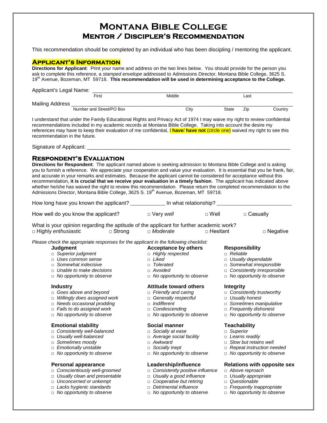## **Montana Bible College Mentor / Discipler's Recommendation**

This recommendation should be completed by an individual who has been discipling / mentoring the applicant.

### **Applicant's Information**

**Directions for Applicant**: Print your name and address on the two lines below. You should provide for the person you ask to complete this reference, a *stamped envelope* addressed to Admissions Director, Montana Bible College, 3625 S. 19th Avenue, Bozeman, MT 59718. **This recommendation will be used in determining acceptance to the College.**

| Applicant's Legal Name: |                          |        |       |      |         |
|-------------------------|--------------------------|--------|-------|------|---------|
|                         | First                    | Middle |       | Last |         |
| Mailing Address         |                          |        |       |      |         |
|                         | Number and Street/PO Box | City   | State | Zip  | Country |

I understand that under the Family Educational Rights and Privacy Act of 1974 I may waive my right to review confidential recommendations included in my academic records at Montana Bible College. Taking into account the desire my references may have to keep their evaluation of me confidential, I **have**/ **have not** (circle one) waived my right to see this recommendation in the future.

Signature of Applicant:

### **Respondent's Evaluation**

**Directions for Respondent**: The applicant named above is seeking admission to Montana Bible College and is asking you to furnish a reference. We appreciate your cooperation and value your evaluation. It is essential that you be frank, fair, and accurate in your remarks and estimates. Because the applicant cannot be considered for acceptance without this recommendation, **it is crucial that we receive your evaluation in a timely fashion**. The applicant has indicated above whether he/she has waived the right to review this recommendation. Please return the completed recommendation to the Admissions Director, Montana Bible College, 3625 S. 19<sup>th</sup> Avenue, Bozeman, MT 59718.

| How long have you known the applicant?                                                                                                                                                                |               |                                                                                                                                                            | In what relationship? |                  |                                                                                                                                                         |
|-------------------------------------------------------------------------------------------------------------------------------------------------------------------------------------------------------|---------------|------------------------------------------------------------------------------------------------------------------------------------------------------------|-----------------------|------------------|---------------------------------------------------------------------------------------------------------------------------------------------------------|
| How well do you know the applicant?                                                                                                                                                                   |               | $\Box$ Very well                                                                                                                                           | $\Box$ Well           |                  | $\Box$ Casually                                                                                                                                         |
| What is your opinion regarding the aptitude of the applicant for further academic work?<br>□ Highly enthusiastic                                                                                      | $\Box$ Strong | □ Moderate                                                                                                                                                 | □ Hesitant            |                  | $\Box$ Negative                                                                                                                                         |
| Please check the appropriate responses for the applicant in the following checklist:                                                                                                                  |               |                                                                                                                                                            |                       |                  |                                                                                                                                                         |
| <b>Judgment</b><br><b>Buperior judgment</b><br>□ Uses common sense<br>$\Box$ Somewhat indecisive<br>$\Box$ Unable to make decisions<br>$\Box$ No opportunity to observe                               |               | <b>Acceptance by others</b><br>$\Box$ Highly respected<br>$\Box$ Liked<br>□ Tolerated<br>$\Box$ Avoided<br>$\Box$ No opportunity to observe                |                       | $\Box$ Reliable  | <b>Responsibility</b><br>□ Usually dependable<br>$\Box$ Somewhat irresponsible<br>$\Box$ Consistently irresponsible<br>$\Box$ No opportunity to observe |
| <b>Industry</b><br>$\Box$ Goes above and beyond<br>Willingly does assigned work<br>$\Box$<br>$\Box$ Needs occasional prodding<br>$\Box$ Fails to do assigned work<br>$\Box$ No opportunity to observe |               | <b>Attitude toward others</b><br>$\Box$ Friendly and caring<br>□ Generally respectful<br>ndifferent<br>□ Condescending<br>$\Box$ No opportunity to observe |                       | <b>Integrity</b> | $\Box$ Consistently trustworthy<br>□ Usually honest<br>$\Box$ Sometimes manipulative<br>$\Box$ Frequently dishonest<br>$\Box$ No opportunity to observe |

- **Emotional stability and Social manner and Social manner** Teachability and Superior and Superior and Superior □ Consistently well-balanced
- 
- □ Sometimes moody □ Awkward □ Slow but retains well<br>□ *Emotionally unstable* Socially inept Repeat instruction ne
- 
- 

- 
- □ *Usually clean and presentable*<br>□ *Unconcerned or unkempt*
- 
- □ *Lacks hygienic standards* □ *Detrimental influence* □ *Frequently inappropriate*
- 

- 
- 
- 
- 
- 

- □ *Consistently positive influence* □ *Above reproach* □ *Usually a good influence* □ *Usually appropriate*
- 
- □ Cooperative but retiring □ *Questionable*
- 

□ *No opportunity to observe* □ *No opportunity to observe* □ *No opportunity to observe*

- 
- 
- 
- □ *Emotionally unstable* □ *Socially inept* □ *Repeat instruction needed*
	-

# **Personal appearance Leadership/influence** Relations with opposite sex <br>  $\Box$  Conscientiously well-groomed  $\Box$  Consistently positive influence  $\Box$  Above reproach

- 
- 
- 
- 
- 
- □ *Usually well-balanced* □ *Average social facility* □ *Learns readily*
	-
	-
	- □ *No opportunity to observe*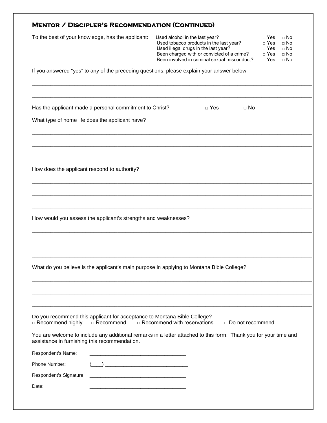| <b>MENTOR / DISCIPLER'S RECOMMENDATION (CONTINUED)</b>                                                                                                                                                 |                                                                                                                                                                                                                 |            |                    |                                                               |                                                                 |
|--------------------------------------------------------------------------------------------------------------------------------------------------------------------------------------------------------|-----------------------------------------------------------------------------------------------------------------------------------------------------------------------------------------------------------------|------------|--------------------|---------------------------------------------------------------|-----------------------------------------------------------------|
| To the best of your knowledge, has the applicant:                                                                                                                                                      | Used alcohol in the last year?<br>Used tobacco products in the last year?<br>Used illegal drugs in the last year?<br>Been charged with or convicted of a crime?<br>Been involved in criminal sexual misconduct? |            |                    | $\Box$ Yes<br>$\Box$ Yes<br>$\Box$ Yes<br>$\Box$ Yes<br>□ Yes | $\sqcap$ No<br>$\Box$ No<br>$\Box$ No<br>$\Box$ No<br>$\Box$ No |
| If you answered "yes" to any of the preceding questions, please explain your answer below.                                                                                                             |                                                                                                                                                                                                                 |            |                    |                                                               |                                                                 |
| Has the applicant made a personal commitment to Christ?                                                                                                                                                |                                                                                                                                                                                                                 | $\Box$ Yes | $\Box$ No          |                                                               |                                                                 |
| What type of home life does the applicant have?                                                                                                                                                        |                                                                                                                                                                                                                 |            |                    |                                                               |                                                                 |
| How does the applicant respond to authority?                                                                                                                                                           |                                                                                                                                                                                                                 |            |                    |                                                               |                                                                 |
| How would you assess the applicant's strengths and weaknesses?                                                                                                                                         |                                                                                                                                                                                                                 |            |                    |                                                               |                                                                 |
| What do you believe is the applicant's main purpose in applying to Montana Bible College?                                                                                                              |                                                                                                                                                                                                                 |            |                    |                                                               |                                                                 |
| Do you recommend this applicant for acceptance to Montana Bible College?                                                                                                                               |                                                                                                                                                                                                                 |            |                    |                                                               |                                                                 |
| □ Recommend highly<br>□ Recommend<br>You are welcome to include any additional remarks in a letter attached to this form. Thank you for your time and<br>assistance in furnishing this recommendation. | $\Box$ Recommend with reservations                                                                                                                                                                              |            | □ Do not recommend |                                                               |                                                                 |
| Respondent's Name:<br><u> 1980 - Johann Stein, marwolaethau a bhann an t-Albann an t-Albann an t-Albann an t-Albann an t-Albann an t-Alb</u>                                                           |                                                                                                                                                                                                                 |            |                    |                                                               |                                                                 |
| Phone Number:                                                                                                                                                                                          |                                                                                                                                                                                                                 |            |                    |                                                               |                                                                 |
| Respondent's Signature:<br><u> 1980 - Johann Barbara, martxa alemaniar a</u>                                                                                                                           |                                                                                                                                                                                                                 |            |                    |                                                               |                                                                 |
| Date:                                                                                                                                                                                                  |                                                                                                                                                                                                                 |            |                    |                                                               |                                                                 |
|                                                                                                                                                                                                        |                                                                                                                                                                                                                 |            |                    |                                                               |                                                                 |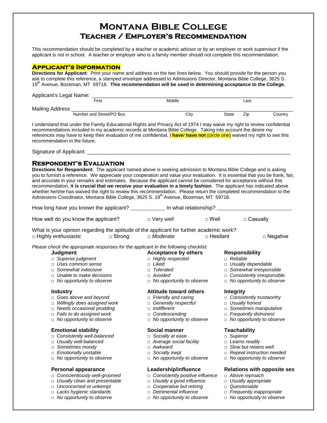## **Montana Bible College Teacher / Employer's Recommendation**

This recommendation should be completed by a teacher or academic advisor or by an employer or work supervisor if the applicant is not in school. A teacher or employer who is a family member should not complete this recommendation.

### **Applicant's Information**

**Directions for Applicant**: Print your name and address on the two lines below. You should provide for the person you ask to complete this reference, a *stamped envelope* addressed to Admissions Director, Montana Bible College, 3625 S. 19th Avenue, Bozeman, MT 59718. **This recommendation will be used in determining acceptance to the College.**

| Applicant's Legal Name: |                          |        |       |      |         |
|-------------------------|--------------------------|--------|-------|------|---------|
|                         | First                    | Middle |       | ∟ast |         |
| Mailing Address         |                          |        |       |      |         |
|                         | Number and Street/PO Box | City   | State | Zip  | Country |

I understand that under the Family Educational Rights and Privacy Act of 1974 I may waive my right to review confidential recommendations included in my academic records at Montana Bible College. Taking into account the desire my references may have to keep their evaluation of me confidential, I **have**/ **have not** (circle one) waived my right to see this recommendation in the future.

Signature of Applicant:

### **Respondent's Evaluation**

**Directions for Respondent**: The applicant named above is seeking admission to Montana Bible College and is asking you to furnish a reference. We appreciate your cooperation and value your evaluation. It is essential that you be frank, fair, and accurate in your remarks and estimates. Because the applicant cannot be considered for acceptance without this recommendation, **it is crucial that we receive your evaluation in a timely fashion**. The applicant has indicated above whether he/she has waived the right to review this recommendation. Please return the completed recommendation to the Admissions Coordinator, Montana Bible College, 3625 S. 19<sup>th</sup> Avenue, Bozeman, MT 59718.

| How long have you known the applicant? | In what relationship? |             |            |
|----------------------------------------|-----------------------|-------------|------------|
| How well do you know the applicant?    | $\Box$ Very well      | $\Box$ Well | □ Casually |

What is your opinion regarding the aptitude of the applicant for further academic work? □ Highly *enthusiastic* □ Strong □ *Moderate* □ Hesitant □ Negative

*Please check the appropriate responses for the applicant in the following checklist:*

- □ *Superior judgment* □ *Highly*<br>□ *Uses common sense Riked*
- 
- □ *Somewhat indecisive* □ *Tolerated* □ *Somewhat irresponsible*
- □ *Unable to make decisions* □ *Avoided* □ *Consistently irresponsible*
- □ *No opportunity to observe* □ *No opportunity to observe* □ *No opportunity to observe*

- □ Goes above and beyond □ *Friendly and caring* □ *Consistently trustworthy*<br>□ *Willingly does assigned work* □ Generally respectful □ Usually honest
- □ *Willingly does assigned work* □ *Generally respectful* □ *Usually honest*
- □ *Needs occasional prodding* □ *Indifferent* □ *Sometimes manipulative*
- □ *Fails to do assigned work* □ *Condescending* □ *Frequently dishonest*
- □ *No opportunity to observe* □ **D** *No opportunity to observe* □ *No opportunity to observe*

### **Emotional stability Social manner Teachability**

- □ Consistently well-balanced □ Socially at ease □ Superior<br>□ *Usually well-balanced □ Average social facility* L*earns r*e
- □ *Usually well-balanced* □ *Average social facility* □ *Learns readily*
- □ Sometimes moody **but retains were provided** a Awkward
- 
- 

- □ *Conscientiously well-groomed* □ *Consistently positive influence* □ *Above reproach*
- 
- 
- 
- □ *No opportunity to observe* □ *No opportunity to observe* □ *No opportunity to observe*
- 
- 
- 
- 
- 

### **Industry Communisty Communisty Attitude toward others integrity**

- 
- 
- 
- 
- 

- 
- 
- 
- 
- □ *No opportunity to observe* □ *No opportunity to observe* □ *No opportunity to observe*

- 
- □ *Usually clean and presentable* □ *Usually a good influence* □ *Usually appropriate*
- □ *Unconcerned or unkempt* □ *Cooperative but retiring* □ *Questionable*
- □ *Lacks hygienic standards* □ *Detrimental influence* □ *Frequently inappropriate*
	-

# **Judgment Acceptance by others Responsibility**<br>  $\Box$  Superior judgment  $\Box$  Highly respected  $\Box$  Reliable

- 
- □ *Uses common sense* □ *Liked* □ *Usually dependable*
	-
	-
	-

- 
- 
- 
- 
- 

- 
- 
- 
- □ *Emotionally unstable* □ *Socially inept* □ *Repeat instruction needed*
	-

### **Personal appearance Leadership/influence Relations with opposite sex**

- 
- 
- 
- 
-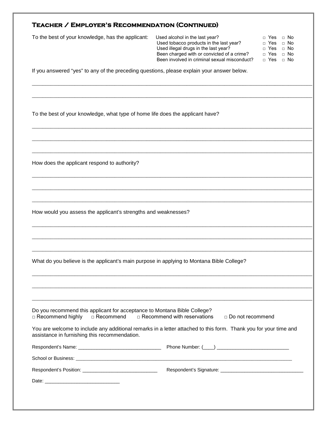|  | TEACHER / EMPLOYER'S RECOMMENDATION (CONTINUED) |
|--|-------------------------------------------------|
|--|-------------------------------------------------|

| To the best of your knowledge, has the applicant: | Used alcohol in the last year?               | □ Yes      | □ No |
|---------------------------------------------------|----------------------------------------------|------------|------|
|                                                   | Used tobacco products in the last year?      | □ Yes □ No |      |
|                                                   | Used illegal drugs in the last year?         | □ Yes □ No |      |
|                                                   | Been charged with or convicted of a crime?   | ⊓ Yes ⊓ No |      |
|                                                   | Been involved in criminal sexual misconduct? | □ Yes      | □ No |

\_\_\_\_\_\_\_\_\_\_\_\_\_\_\_\_\_\_\_\_\_\_\_\_\_\_\_\_\_\_\_\_\_\_\_\_\_\_\_\_\_\_\_\_\_\_\_\_\_\_\_\_\_\_\_\_\_\_\_\_\_\_\_\_\_\_\_\_\_\_\_\_\_\_\_\_\_\_\_\_\_\_\_\_\_\_\_\_\_\_\_\_\_\_\_\_\_\_\_\_\_\_\_\_\_

\_\_\_\_\_\_\_\_\_\_\_\_\_\_\_\_\_\_\_\_\_\_\_\_\_\_\_\_\_\_\_\_\_\_\_\_\_\_\_\_\_\_\_\_\_\_\_\_\_\_\_\_\_\_\_\_\_\_\_\_\_\_\_\_\_\_\_\_\_\_\_\_\_\_\_\_\_\_\_\_\_\_\_\_\_\_\_\_\_\_\_\_\_\_\_\_\_\_\_\_\_\_\_\_\_

\_\_\_\_\_\_\_\_\_\_\_\_\_\_\_\_\_\_\_\_\_\_\_\_\_\_\_\_\_\_\_\_\_\_\_\_\_\_\_\_\_\_\_\_\_\_\_\_\_\_\_\_\_\_\_\_\_\_\_\_\_\_\_\_\_\_\_\_\_\_\_\_\_\_\_\_\_\_\_\_\_\_\_\_\_\_\_\_\_\_\_\_\_\_\_\_\_\_\_\_\_\_\_\_\_

\_\_\_\_\_\_\_\_\_\_\_\_\_\_\_\_\_\_\_\_\_\_\_\_\_\_\_\_\_\_\_\_\_\_\_\_\_\_\_\_\_\_\_\_\_\_\_\_\_\_\_\_\_\_\_\_\_\_\_\_\_\_\_\_\_\_\_\_\_\_\_\_\_\_\_\_\_\_\_\_\_\_\_\_\_\_\_\_\_\_\_\_\_\_\_\_\_\_\_\_\_\_\_\_\_

\_\_\_\_\_\_\_\_\_\_\_\_\_\_\_\_\_\_\_\_\_\_\_\_\_\_\_\_\_\_\_\_\_\_\_\_\_\_\_\_\_\_\_\_\_\_\_\_\_\_\_\_\_\_\_\_\_\_\_\_\_\_\_\_\_\_\_\_\_\_\_\_\_\_\_\_\_\_\_\_\_\_\_\_\_\_\_\_\_\_\_\_\_\_\_\_\_\_\_\_\_\_\_\_\_

\_\_\_\_\_\_\_\_\_\_\_\_\_\_\_\_\_\_\_\_\_\_\_\_\_\_\_\_\_\_\_\_\_\_\_\_\_\_\_\_\_\_\_\_\_\_\_\_\_\_\_\_\_\_\_\_\_\_\_\_\_\_\_\_\_\_\_\_\_\_\_\_\_\_\_\_\_\_\_\_\_\_\_\_\_\_\_\_\_\_\_\_\_\_\_\_\_\_\_\_\_\_\_\_\_

\_\_\_\_\_\_\_\_\_\_\_\_\_\_\_\_\_\_\_\_\_\_\_\_\_\_\_\_\_\_\_\_\_\_\_\_\_\_\_\_\_\_\_\_\_\_\_\_\_\_\_\_\_\_\_\_\_\_\_\_\_\_\_\_\_\_\_\_\_\_\_\_\_\_\_\_\_\_\_\_\_\_\_\_\_\_\_\_\_\_\_\_\_\_\_\_\_\_\_\_\_\_\_\_\_

\_\_\_\_\_\_\_\_\_\_\_\_\_\_\_\_\_\_\_\_\_\_\_\_\_\_\_\_\_\_\_\_\_\_\_\_\_\_\_\_\_\_\_\_\_\_\_\_\_\_\_\_\_\_\_\_\_\_\_\_\_\_\_\_\_\_\_\_\_\_\_\_\_\_\_\_\_\_\_\_\_\_\_\_\_\_\_\_\_\_\_\_\_\_\_\_\_\_\_\_\_\_\_\_\_

\_\_\_\_\_\_\_\_\_\_\_\_\_\_\_\_\_\_\_\_\_\_\_\_\_\_\_\_\_\_\_\_\_\_\_\_\_\_\_\_\_\_\_\_\_\_\_\_\_\_\_\_\_\_\_\_\_\_\_\_\_\_\_\_\_\_\_\_\_\_\_\_\_\_\_\_\_\_\_\_\_\_\_\_\_\_\_\_\_\_\_\_\_\_\_\_\_\_\_\_\_\_\_\_\_

\_\_\_\_\_\_\_\_\_\_\_\_\_\_\_\_\_\_\_\_\_\_\_\_\_\_\_\_\_\_\_\_\_\_\_\_\_\_\_\_\_\_\_\_\_\_\_\_\_\_\_\_\_\_\_\_\_\_\_\_\_\_\_\_\_\_\_\_\_\_\_\_\_\_\_\_\_\_\_\_\_\_\_\_\_\_\_\_\_\_\_\_\_\_\_\_\_\_\_\_\_\_\_\_\_

\_\_\_\_\_\_\_\_\_\_\_\_\_\_\_\_\_\_\_\_\_\_\_\_\_\_\_\_\_\_\_\_\_\_\_\_\_\_\_\_\_\_\_\_\_\_\_\_\_\_\_\_\_\_\_\_\_\_\_\_\_\_\_\_\_\_\_\_\_\_\_\_\_\_\_\_\_\_\_\_\_\_\_\_\_\_\_\_\_\_\_\_\_\_\_\_\_\_\_\_\_\_\_\_\_

\_\_\_\_\_\_\_\_\_\_\_\_\_\_\_\_\_\_\_\_\_\_\_\_\_\_\_\_\_\_\_\_\_\_\_\_\_\_\_\_\_\_\_\_\_\_\_\_\_\_\_\_\_\_\_\_\_\_\_\_\_\_\_\_\_\_\_\_\_\_\_\_\_\_\_\_\_\_\_\_\_\_\_\_\_\_\_\_\_\_\_\_\_\_\_\_\_\_\_\_\_\_\_\_\_

\_\_\_\_\_\_\_\_\_\_\_\_\_\_\_\_\_\_\_\_\_\_\_\_\_\_\_\_\_\_\_\_\_\_\_\_\_\_\_\_\_\_\_\_\_\_\_\_\_\_\_\_\_\_\_\_\_\_\_\_\_\_\_\_\_\_\_\_\_\_\_\_\_\_\_\_\_\_\_\_\_\_\_\_\_\_\_\_\_\_\_\_\_\_\_\_\_\_\_\_\_\_\_\_\_

\_\_\_\_\_\_\_\_\_\_\_\_\_\_\_\_\_\_\_\_\_\_\_\_\_\_\_\_\_\_\_\_\_\_\_\_\_\_\_\_\_\_\_\_\_\_\_\_\_\_\_\_\_\_\_\_\_\_\_\_\_\_\_\_\_\_\_\_\_\_\_\_\_\_\_\_\_\_\_\_\_\_\_\_\_\_\_\_\_\_\_\_\_\_\_\_\_\_\_\_\_\_\_\_\_

If you answered "yes" to any of the preceding questions, please explain your answer below.

To the best of your knowledge, what type of home life does the applicant have?

How does the applicant respond to authority?

How would you assess the applicant's strengths and weaknesses?

What do you believe is the applicant's main purpose in applying to Montana Bible College?

|                    |             | Do you recommend this applicant for acceptance to Montana Bible College? |                    |
|--------------------|-------------|--------------------------------------------------------------------------|--------------------|
| □ Recommend highly | □ Recommend | $\Box$ Recommend with reservations                                       | □ Do not recommend |

You are welcome to include any additional remarks in a letter attached to this form. Thank you for your time and assistance in furnishing this recommendation.

| School or Business:                                                                                                                                                                                                           |  |
|-------------------------------------------------------------------------------------------------------------------------------------------------------------------------------------------------------------------------------|--|
| Respondent's Position: Network and the set of the set of the set of the set of the set of the set of the set of the set of the set of the set of the set of the set of the set of the set of the set of the set of the set of |  |
| Date:                                                                                                                                                                                                                         |  |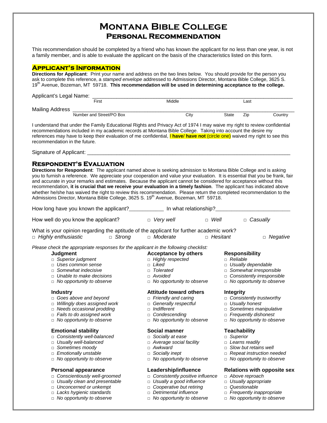## **Montana Bible College Personal Recommendation**

This recommendation should be completed by a friend who has known the applicant for no less than one year, is not a family member, and is able to evaluate the applicant on the basis of the characteristics listed on this form.

### **Applicant's Information**

**Directions for Applicant**: Print your name and address on the two lines below. You should provide for the person you ask to complete this reference, a *stamped envelope* addressed to Admissions Director, Montana Bible College, 3625 S. 19th Avenue, Bozeman, MT 59718. **This recommendation will be used in determining acceptance to the college.**

| Applicant's Legal Name: |                          |        |       |      |         |
|-------------------------|--------------------------|--------|-------|------|---------|
|                         | First                    | Middle |       | Last |         |
| <b>Mailing Address</b>  |                          |        |       |      |         |
|                         | Number and Street/PO Box | Citv   | State | Zio  | Country |

I understand that under the Family Educational Rights and Privacy Act of 1974 I may waive my right to review confidential recommendations included in my academic records at Montana Bible College. Taking into account the desire my references may have to keep their evaluation of me confidential, I **have**/ **have not** (circle one) waived my right to see this recommendation in the future.

Signature of Applicant:

### **Respondent's Evaluation**

**Directions for Respondent**: The applicant named above is seeking admission to Montana Bible College and is asking you to furnish a reference. We appreciate your cooperation and value your evaluation. It is essential that you be frank, fair and accurate in your remarks and estimates. Because the applicant cannot be considered for acceptance without this recommendation, **it is crucial that we receive your evaluation in a timely fashion**. The applicant has indicated above whether he/she has waived the right to review this recommendation. Please return the completed recommendation to the Admissions Director, Montana Bible College, 3625 S. 19<sup>th</sup> Avenue, Bozeman, MT 59718.

| How long have you known the applicant?_____________                                                                                                                                                                                                             | In what relationship?                                                                                                                                                                                                                      |                                                                                                                                                                                                                                            |
|-----------------------------------------------------------------------------------------------------------------------------------------------------------------------------------------------------------------------------------------------------------------|--------------------------------------------------------------------------------------------------------------------------------------------------------------------------------------------------------------------------------------------|--------------------------------------------------------------------------------------------------------------------------------------------------------------------------------------------------------------------------------------------|
| How well do you know the applicant?                                                                                                                                                                                                                             | $\Box$ Very well                                                                                                                                                                                                                           | $\Box$ Well<br>Casually<br>$\Box$                                                                                                                                                                                                          |
| What is your opinion regarding the aptitude of the applicant for further academic work?<br>$\Box$ Strong<br>□ Highly enthusiastic                                                                                                                               | $\Box$ Moderate                                                                                                                                                                                                                            | □ Hesitant<br>$\Box$ Negative                                                                                                                                                                                                              |
| Please check the appropriate responses for the applicant in the following checklist:<br>Judgment<br>$\Box$ Superior judgment<br>$\Box$ Uses common sense<br>$\Box$ Somewhat indecisive<br>Unable to make decisions<br>П.<br>$\Box$ No opportunity to observe    | <b>Acceptance by others</b><br>$\Box$ Highly respected<br>Liked<br>$\Box$<br>Tolerated<br>$\Box$<br>Avoided<br>$\Box$<br>No opportunity to observe<br>$\Box$                                                                               | <b>Responsibility</b><br>$\Box$ Reliable<br>□ Usually dependable<br>Somewhat irresponsible<br>$\Box$<br>Consistently irresponsible<br>$\Box$<br>$\Box$ No opportunity to observe                                                           |
| <b>Industry</b><br>$\Box$ Goes above and beyond<br>Willingly does assigned work<br>П.<br>$\Box$ Needs occasional prodding<br>$\Box$ Fails to do assigned work<br>$\Box$ No opportunity to observe<br><b>Emotional stability</b><br>c Consistently well-balanced | Attitude toward others<br><b>Friendly and caring</b><br>$\Box$<br>Generally respectful<br>$\Box$<br>Indifferent<br>$\Box$<br>Condescending<br>$\Box$<br>No opportunity to observe<br>$\Box$<br>Social manner<br>Socially at ease<br>$\Box$ | <b>Integrity</b><br>$\Box$ Consistently trustworthy<br>Usually honest<br>$\Box$<br>Sometimes manipulative<br>$\Box$<br><b>Frequently dishonest</b><br>$\Box$<br>$\Box$ No opportunity to observe<br><b>Teachability</b><br>$\Box$ Superior |
| □ Usually well-balanced                                                                                                                                                                                                                                         | □ Average social facility                                                                                                                                                                                                                  | $\Box$ Learns readily                                                                                                                                                                                                                      |

- 
- □ *Emotionally unstable* □ *Socially inept* □ *Repeat instruction needed*
- □ *No opportunity to observe* □ *No opportunity to observe* □ *No opportunity to observe*

- □ *Consistently positive influence* □ *Above reproach*
- □ *Usually clean and presentable* □ *Usually a good influence* □ *Usually appropriate*
- □ *Unconcerned or unkempt* □ *Cooperative but retiring* □ *Questionable*
- □ *Lacks hygienic standards* □ *Detrimental influence* □ *Frequently inappropriate*
- □ *No opportunity to observe* □ *No opportunity to observe* □ *No opportunity to observe*
- 
- □ *Sometimes moody* □ *Awkward* □ *Slow but retains well*
	-
	-

# **Personal appearance and Leadership/influence Relations with opposite sex**<br>  $\Box$  Conscientiously well-groomed  $\Box$  Consistently positive influence  $\Box$  Above reproach

- 
- 
- 
- 
-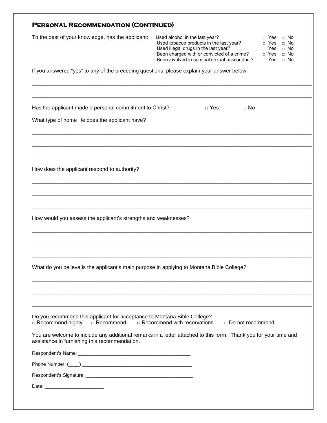| <b>PERSONAL RECOMMENDATION (CONTINUED)</b>                                                                                                                        |                                                                                                                                                                                                                 |            |                         |                                                                 |                                                               |  |
|-------------------------------------------------------------------------------------------------------------------------------------------------------------------|-----------------------------------------------------------------------------------------------------------------------------------------------------------------------------------------------------------------|------------|-------------------------|-----------------------------------------------------------------|---------------------------------------------------------------|--|
| To the best of your knowledge, has the applicant:                                                                                                                 | Used alcohol in the last year?<br>Used tobacco products in the last year?<br>Used illegal drugs in the last year?<br>Been charged with or convicted of a crime?<br>Been involved in criminal sexual misconduct? |            |                         | Yes<br>Yes<br>$\Box$<br>Yes<br>$\Box$<br>Yes<br>$\Box$<br>□ Yes | $\Box$ No<br>$\Box$ No<br>$\Box$ No<br>$\Box$ No<br>$\Box$ No |  |
| If you answered "yes" to any of the preceding questions, please explain your answer below.                                                                        |                                                                                                                                                                                                                 |            |                         |                                                                 |                                                               |  |
| Has the applicant made a personal commitment to Christ?                                                                                                           |                                                                                                                                                                                                                 | $\Box$ Yes | $\Box$ No               |                                                                 |                                                               |  |
| What type of home life does the applicant have?                                                                                                                   |                                                                                                                                                                                                                 |            |                         |                                                                 |                                                               |  |
| How does the applicant respond to authority?                                                                                                                      |                                                                                                                                                                                                                 |            |                         |                                                                 |                                                               |  |
|                                                                                                                                                                   |                                                                                                                                                                                                                 |            |                         |                                                                 |                                                               |  |
| How would you assess the applicant's strengths and weaknesses?                                                                                                    |                                                                                                                                                                                                                 |            |                         |                                                                 |                                                               |  |
| What do you believe is the applicant's main purpose in applying to Montana Bible College?                                                                         |                                                                                                                                                                                                                 |            |                         |                                                                 |                                                               |  |
| Do you recommend this applicant for acceptance to Montana Bible College?                                                                                          |                                                                                                                                                                                                                 |            |                         |                                                                 |                                                               |  |
| □ Recommend highly<br>□ Recommend                                                                                                                                 | $\Box$ Recommend with reservations                                                                                                                                                                              |            | $\Box$ Do not recommend |                                                                 |                                                               |  |
| You are welcome to include any additional remarks in a letter attached to this form. Thank you for your time and<br>assistance in furnishing this recommendation. |                                                                                                                                                                                                                 |            |                         |                                                                 |                                                               |  |
|                                                                                                                                                                   |                                                                                                                                                                                                                 |            |                         |                                                                 |                                                               |  |
|                                                                                                                                                                   |                                                                                                                                                                                                                 |            |                         |                                                                 |                                                               |  |
|                                                                                                                                                                   |                                                                                                                                                                                                                 |            |                         |                                                                 |                                                               |  |
| Date: <u>Date:</u>                                                                                                                                                |                                                                                                                                                                                                                 |            |                         |                                                                 |                                                               |  |
|                                                                                                                                                                   |                                                                                                                                                                                                                 |            |                         |                                                                 |                                                               |  |
|                                                                                                                                                                   |                                                                                                                                                                                                                 |            |                         |                                                                 |                                                               |  |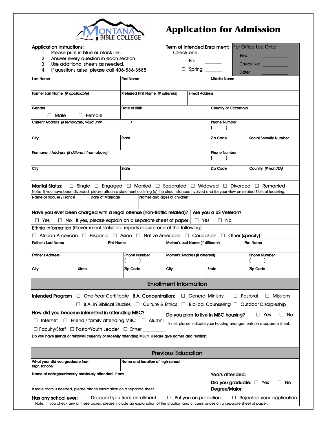

# **Application for Admission**

| <b>Application Instructions:</b>                                                                                                       |                                                                              | <b>Term of Intended Enrollment:</b><br>For Office Use Only:                                                                                                                                                                                                                                       |                                   |                           |                              |                                  |
|----------------------------------------------------------------------------------------------------------------------------------------|------------------------------------------------------------------------------|---------------------------------------------------------------------------------------------------------------------------------------------------------------------------------------------------------------------------------------------------------------------------------------------------|-----------------------------------|---------------------------|------------------------------|----------------------------------|
| 1.<br>2.                                                                                                                               | Please print in blue or black ink.<br>Answer every question in each section. | Check one:                                                                                                                                                                                                                                                                                        |                                   | Fee:                      |                              |                                  |
| 3.                                                                                                                                     | Use additional sheets as needed.                                             |                                                                                                                                                                                                                                                                                                   | $\square$ Fall                    |                           |                              | Check No:                        |
| 4.                                                                                                                                     | If questions arise, please call 406-586-3585                                 |                                                                                                                                                                                                                                                                                                   | $\Box$ Spring ____<br>Date:       |                           |                              |                                  |
| <b>Last Name</b>                                                                                                                       |                                                                              | <b>First Name</b>                                                                                                                                                                                                                                                                                 |                                   |                           | <b>Middle Name</b>           |                                  |
|                                                                                                                                        |                                                                              |                                                                                                                                                                                                                                                                                                   |                                   |                           |                              |                                  |
| Former Last Name (If applicable)                                                                                                       |                                                                              | Preferred First Name (If different)                                                                                                                                                                                                                                                               |                                   | <b>E-mail Address</b>     |                              |                                  |
| Gender                                                                                                                                 |                                                                              | Date of Birth                                                                                                                                                                                                                                                                                     |                                   |                           | Country of Citizenship       |                                  |
| $\Box$ Male                                                                                                                            | $\Box$ Female                                                                |                                                                                                                                                                                                                                                                                                   |                                   |                           |                              |                                  |
| Current Address (If temporary, valid until                                                                                             |                                                                              |                                                                                                                                                                                                                                                                                                   |                                   |                           | <b>Phone Number</b>          |                                  |
| Clty                                                                                                                                   |                                                                              | <b>State</b>                                                                                                                                                                                                                                                                                      |                                   |                           | <b>Zip Code</b>              | <b>Social Security Number</b>    |
| Permanent Address (If different from above)                                                                                            |                                                                              |                                                                                                                                                                                                                                                                                                   |                                   |                           | <b>Phone Number</b>          |                                  |
| Clty                                                                                                                                   |                                                                              | <b>State</b>                                                                                                                                                                                                                                                                                      |                                   |                           | <b>Zip Code</b>              | Country (If not USA)             |
| Marital Status:<br>Name of Spouse / Flancé                                                                                             | Date of Marriage                                                             | $\Box$ Single $\Box$ Engaged $\Box$ Married $\Box$ Separated $\Box$ Widowed $\Box$ Divorced $\Box$ Remarried<br>Note: If you have been divorced, please attach a statement outlining (a) the circumstances involved and (b) your view on related Biblical teaching.<br>Names and ages of children |                                   |                           |                              |                                  |
| Have you ever been charged with a legal offense (non-traffic related)?   Are you a US Veteran?                                         |                                                                              |                                                                                                                                                                                                                                                                                                   |                                   |                           |                              |                                  |
| $\Box$ Yes                                                                                                                             |                                                                              | $\Box$ No If yes, please explain on a separate sheet of paper. $\Box$ Yes                                                                                                                                                                                                                         |                                   |                           | $\Box$ No                    |                                  |
|                                                                                                                                        |                                                                              | Ethnic Information (Government statistical reports require one of the following)                                                                                                                                                                                                                  |                                   |                           |                              |                                  |
|                                                                                                                                        |                                                                              | $\Box$ African-American $\Box$ Hispanic $\Box$ Asian $\Box$ Native American $\Box$ Caucasian $\Box$ Other (specify)                                                                                                                                                                               |                                   |                           |                              |                                  |
| <b>Father's Last Name</b>                                                                                                              | <b>First Name</b>                                                            |                                                                                                                                                                                                                                                                                                   | Mother's Last Name (If different) |                           |                              | <b>First Name</b>                |
| <b>Father's Address</b>                                                                                                                |                                                                              | <b>Phone Number</b>                                                                                                                                                                                                                                                                               | Mother's Address (If different)   |                           |                              | <b>Phone Number</b>              |
| <b>City</b>                                                                                                                            | <b>State</b>                                                                 | <b>Zip Code</b>                                                                                                                                                                                                                                                                                   | <b>City</b>                       |                           | <b>State</b>                 | <b>Zip Code</b>                  |
|                                                                                                                                        |                                                                              |                                                                                                                                                                                                                                                                                                   | <b>Enrollment Information</b>     |                           |                              |                                  |
|                                                                                                                                        |                                                                              |                                                                                                                                                                                                                                                                                                   |                                   | <b>C</b> General Ministry | $\Box$ Pastoral              | $\Box$ Missions                  |
| $\Box$ B.A. in Biblical Studies $\Box$ Culture & Ethics $\Box$ Biblical Counseling $\Box$ Outdoor Discipleship                         |                                                                              |                                                                                                                                                                                                                                                                                                   |                                   |                           |                              |                                  |
| How did you become interested in attending MBC?                                                                                        |                                                                              |                                                                                                                                                                                                                                                                                                   |                                   |                           |                              |                                  |
| Do you plan to live in MBC housing?<br>$\Box$ Yes<br>□ No<br>Internet $\Box$ Friend / family attending MBC $\Box$ Alumni<br>ப          |                                                                              |                                                                                                                                                                                                                                                                                                   |                                   |                           |                              |                                  |
| If not, please indicate your housing arrangements on a separate sheet.<br>$\Box$ Faculty/Staff $\Box$ Pastor/Youth Leader $\Box$ Other |                                                                              |                                                                                                                                                                                                                                                                                                   |                                   |                           |                              |                                  |
|                                                                                                                                        |                                                                              | Do you have friends or relatives currently or recently attending MBC? (Please give names and relation)                                                                                                                                                                                            |                                   |                           |                              |                                  |
|                                                                                                                                        |                                                                              |                                                                                                                                                                                                                                                                                                   |                                   |                           |                              |                                  |
| What year did you graduate from<br>high school?                                                                                        |                                                                              | Name and location of high school                                                                                                                                                                                                                                                                  | <b>Previous Education</b>         |                           |                              |                                  |
| Name of college/university previously attended, if any                                                                                 |                                                                              |                                                                                                                                                                                                                                                                                                   |                                   |                           | Years attended:              |                                  |
|                                                                                                                                        |                                                                              |                                                                                                                                                                                                                                                                                                   |                                   |                           | Did you graduate: $\Box$ Yes | $\Box$ No                        |
| If more room is needed, please attach information on a separate sheet.                                                                 |                                                                              |                                                                                                                                                                                                                                                                                                   |                                   |                           | Degree/Major:                |                                  |
| Has any school ever.                                                                                                                   | $\Box$ Dropped you from enrollment                                           |                                                                                                                                                                                                                                                                                                   | $\Box$ Put you on probation       |                           |                              | $\Box$ Rejected your application |
|                                                                                                                                        |                                                                              | Note: If you check any of these boxes, please include an explanation of the situation and circumstances on a separate sheet of paper.                                                                                                                                                             |                                   |                           |                              |                                  |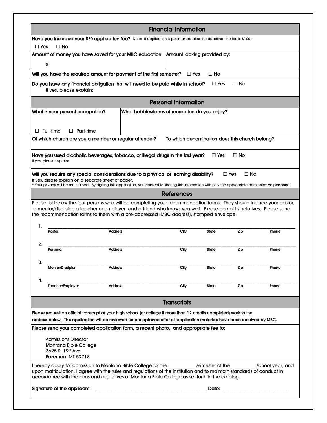| Have you included your \$50 application fee? Note: If application is postmarked after the deadline, the fee is \$100.<br>$\Box$ Yes<br>$\Box$ No<br>Amount of money you have saved for your MBC education<br>\$<br>Will you have the required amount for payment of the first semester?<br>Do you have any financial obligation that will need to be paid while in school?<br>If yes, please explain:<br>What is your present occupation?<br>$\Box$ Full-time<br>$\Box$ Part-time<br>Of which church are you a member or regular attender?<br>Have you used alcoholic beverages, tobacco, or illegal drugs in the last year?<br>If yes, please explain:<br>Will you require any special considerations due to a physical or learning disability?<br>If yes, please explain on a separate sheet of paper.<br>* Your privacy will be maintained. By signing this application, you consent to sharing this information with only the appropriate administrative personnel.<br>Please list below the four persons who will be completing your recommendation forms. They should include your pastor,<br>a mentor/discipler, a teacher or employer, and a friend who knows you well. Please do not list relatives. Please send<br>the recommendation forms to them with a pre-addressed (MBC address), stamped envelope.<br>1.<br>Pastor<br><b>Address</b><br>2.<br>Personal<br><b>Address</b><br>3.<br><b>Mentor/Discipler</b><br><b>Address</b><br>4.<br><b>Address</b><br><b>Teacher/Employer</b> | $\Box$ Yes<br><b>Personal Information</b><br>What hobbies/forms of recreation do you enjoy?<br><b>References</b><br>City | Amount lacking provided by:<br>$\Box$ No<br>$\Box$ Yes<br>To which denomination does this church belong?<br>$\Box$ Yes<br><b>State</b><br><b>State</b> | $\Box$ No<br>⊟ No<br>$\Box$ Yes<br>⊟ No<br>Zip | Phone |
|-------------------------------------------------------------------------------------------------------------------------------------------------------------------------------------------------------------------------------------------------------------------------------------------------------------------------------------------------------------------------------------------------------------------------------------------------------------------------------------------------------------------------------------------------------------------------------------------------------------------------------------------------------------------------------------------------------------------------------------------------------------------------------------------------------------------------------------------------------------------------------------------------------------------------------------------------------------------------------------------------------------------------------------------------------------------------------------------------------------------------------------------------------------------------------------------------------------------------------------------------------------------------------------------------------------------------------------------------------------------------------------------------------------------------------------------------------------------------------------------------|--------------------------------------------------------------------------------------------------------------------------|--------------------------------------------------------------------------------------------------------------------------------------------------------|------------------------------------------------|-------|
|                                                                                                                                                                                                                                                                                                                                                                                                                                                                                                                                                                                                                                                                                                                                                                                                                                                                                                                                                                                                                                                                                                                                                                                                                                                                                                                                                                                                                                                                                                 |                                                                                                                          |                                                                                                                                                        |                                                |       |
|                                                                                                                                                                                                                                                                                                                                                                                                                                                                                                                                                                                                                                                                                                                                                                                                                                                                                                                                                                                                                                                                                                                                                                                                                                                                                                                                                                                                                                                                                                 |                                                                                                                          |                                                                                                                                                        |                                                |       |
|                                                                                                                                                                                                                                                                                                                                                                                                                                                                                                                                                                                                                                                                                                                                                                                                                                                                                                                                                                                                                                                                                                                                                                                                                                                                                                                                                                                                                                                                                                 |                                                                                                                          |                                                                                                                                                        |                                                |       |
|                                                                                                                                                                                                                                                                                                                                                                                                                                                                                                                                                                                                                                                                                                                                                                                                                                                                                                                                                                                                                                                                                                                                                                                                                                                                                                                                                                                                                                                                                                 |                                                                                                                          |                                                                                                                                                        |                                                |       |
|                                                                                                                                                                                                                                                                                                                                                                                                                                                                                                                                                                                                                                                                                                                                                                                                                                                                                                                                                                                                                                                                                                                                                                                                                                                                                                                                                                                                                                                                                                 |                                                                                                                          |                                                                                                                                                        |                                                |       |
|                                                                                                                                                                                                                                                                                                                                                                                                                                                                                                                                                                                                                                                                                                                                                                                                                                                                                                                                                                                                                                                                                                                                                                                                                                                                                                                                                                                                                                                                                                 |                                                                                                                          |                                                                                                                                                        |                                                |       |
|                                                                                                                                                                                                                                                                                                                                                                                                                                                                                                                                                                                                                                                                                                                                                                                                                                                                                                                                                                                                                                                                                                                                                                                                                                                                                                                                                                                                                                                                                                 |                                                                                                                          |                                                                                                                                                        |                                                |       |
|                                                                                                                                                                                                                                                                                                                                                                                                                                                                                                                                                                                                                                                                                                                                                                                                                                                                                                                                                                                                                                                                                                                                                                                                                                                                                                                                                                                                                                                                                                 |                                                                                                                          |                                                                                                                                                        |                                                |       |
|                                                                                                                                                                                                                                                                                                                                                                                                                                                                                                                                                                                                                                                                                                                                                                                                                                                                                                                                                                                                                                                                                                                                                                                                                                                                                                                                                                                                                                                                                                 |                                                                                                                          |                                                                                                                                                        |                                                |       |
|                                                                                                                                                                                                                                                                                                                                                                                                                                                                                                                                                                                                                                                                                                                                                                                                                                                                                                                                                                                                                                                                                                                                                                                                                                                                                                                                                                                                                                                                                                 |                                                                                                                          |                                                                                                                                                        |                                                |       |
|                                                                                                                                                                                                                                                                                                                                                                                                                                                                                                                                                                                                                                                                                                                                                                                                                                                                                                                                                                                                                                                                                                                                                                                                                                                                                                                                                                                                                                                                                                 |                                                                                                                          |                                                                                                                                                        |                                                |       |
|                                                                                                                                                                                                                                                                                                                                                                                                                                                                                                                                                                                                                                                                                                                                                                                                                                                                                                                                                                                                                                                                                                                                                                                                                                                                                                                                                                                                                                                                                                 |                                                                                                                          |                                                                                                                                                        |                                                |       |
|                                                                                                                                                                                                                                                                                                                                                                                                                                                                                                                                                                                                                                                                                                                                                                                                                                                                                                                                                                                                                                                                                                                                                                                                                                                                                                                                                                                                                                                                                                 |                                                                                                                          |                                                                                                                                                        |                                                |       |
|                                                                                                                                                                                                                                                                                                                                                                                                                                                                                                                                                                                                                                                                                                                                                                                                                                                                                                                                                                                                                                                                                                                                                                                                                                                                                                                                                                                                                                                                                                 |                                                                                                                          |                                                                                                                                                        |                                                |       |
|                                                                                                                                                                                                                                                                                                                                                                                                                                                                                                                                                                                                                                                                                                                                                                                                                                                                                                                                                                                                                                                                                                                                                                                                                                                                                                                                                                                                                                                                                                 |                                                                                                                          |                                                                                                                                                        |                                                |       |
|                                                                                                                                                                                                                                                                                                                                                                                                                                                                                                                                                                                                                                                                                                                                                                                                                                                                                                                                                                                                                                                                                                                                                                                                                                                                                                                                                                                                                                                                                                 |                                                                                                                          |                                                                                                                                                        |                                                |       |
|                                                                                                                                                                                                                                                                                                                                                                                                                                                                                                                                                                                                                                                                                                                                                                                                                                                                                                                                                                                                                                                                                                                                                                                                                                                                                                                                                                                                                                                                                                 |                                                                                                                          |                                                                                                                                                        |                                                |       |
|                                                                                                                                                                                                                                                                                                                                                                                                                                                                                                                                                                                                                                                                                                                                                                                                                                                                                                                                                                                                                                                                                                                                                                                                                                                                                                                                                                                                                                                                                                 |                                                                                                                          |                                                                                                                                                        |                                                |       |
|                                                                                                                                                                                                                                                                                                                                                                                                                                                                                                                                                                                                                                                                                                                                                                                                                                                                                                                                                                                                                                                                                                                                                                                                                                                                                                                                                                                                                                                                                                 | <b>City</b>                                                                                                              |                                                                                                                                                        | Zip                                            | Phone |
|                                                                                                                                                                                                                                                                                                                                                                                                                                                                                                                                                                                                                                                                                                                                                                                                                                                                                                                                                                                                                                                                                                                                                                                                                                                                                                                                                                                                                                                                                                 |                                                                                                                          |                                                                                                                                                        |                                                |       |
|                                                                                                                                                                                                                                                                                                                                                                                                                                                                                                                                                                                                                                                                                                                                                                                                                                                                                                                                                                                                                                                                                                                                                                                                                                                                                                                                                                                                                                                                                                 | City                                                                                                                     | State                                                                                                                                                  | Zip                                            | Phone |
|                                                                                                                                                                                                                                                                                                                                                                                                                                                                                                                                                                                                                                                                                                                                                                                                                                                                                                                                                                                                                                                                                                                                                                                                                                                                                                                                                                                                                                                                                                 |                                                                                                                          |                                                                                                                                                        |                                                |       |
|                                                                                                                                                                                                                                                                                                                                                                                                                                                                                                                                                                                                                                                                                                                                                                                                                                                                                                                                                                                                                                                                                                                                                                                                                                                                                                                                                                                                                                                                                                 | City                                                                                                                     | <b>State</b>                                                                                                                                           | Zip                                            | Phone |
|                                                                                                                                                                                                                                                                                                                                                                                                                                                                                                                                                                                                                                                                                                                                                                                                                                                                                                                                                                                                                                                                                                                                                                                                                                                                                                                                                                                                                                                                                                 | <b>Transcripts</b>                                                                                                       |                                                                                                                                                        |                                                |       |
|                                                                                                                                                                                                                                                                                                                                                                                                                                                                                                                                                                                                                                                                                                                                                                                                                                                                                                                                                                                                                                                                                                                                                                                                                                                                                                                                                                                                                                                                                                 |                                                                                                                          |                                                                                                                                                        |                                                |       |
| Please request an official transcript of your high school (or college if more than 12 credits completed) work to the<br>address below. This application will be reviewed for acceptance after all application materials have been received by MBC.                                                                                                                                                                                                                                                                                                                                                                                                                                                                                                                                                                                                                                                                                                                                                                                                                                                                                                                                                                                                                                                                                                                                                                                                                                              |                                                                                                                          |                                                                                                                                                        |                                                |       |
| Please send your completed application form, a recent photo, and appropriate fee to:                                                                                                                                                                                                                                                                                                                                                                                                                                                                                                                                                                                                                                                                                                                                                                                                                                                                                                                                                                                                                                                                                                                                                                                                                                                                                                                                                                                                            |                                                                                                                          |                                                                                                                                                        |                                                |       |
|                                                                                                                                                                                                                                                                                                                                                                                                                                                                                                                                                                                                                                                                                                                                                                                                                                                                                                                                                                                                                                                                                                                                                                                                                                                                                                                                                                                                                                                                                                 |                                                                                                                          |                                                                                                                                                        |                                                |       |
| <b>Admissions Director</b><br>Montana Bible College                                                                                                                                                                                                                                                                                                                                                                                                                                                                                                                                                                                                                                                                                                                                                                                                                                                                                                                                                                                                                                                                                                                                                                                                                                                                                                                                                                                                                                             |                                                                                                                          |                                                                                                                                                        |                                                |       |
| 3625 S. 19 <sup>th</sup> Ave.                                                                                                                                                                                                                                                                                                                                                                                                                                                                                                                                                                                                                                                                                                                                                                                                                                                                                                                                                                                                                                                                                                                                                                                                                                                                                                                                                                                                                                                                   |                                                                                                                          |                                                                                                                                                        |                                                |       |
| Bozeman, MT 59718                                                                                                                                                                                                                                                                                                                                                                                                                                                                                                                                                                                                                                                                                                                                                                                                                                                                                                                                                                                                                                                                                                                                                                                                                                                                                                                                                                                                                                                                               |                                                                                                                          |                                                                                                                                                        |                                                |       |
| I hereby apply for admission to Montana Bible College for the semester of the school year, and<br>upon matriculation, I agree with the rules and regulations of the institution and to maintain standards of conduct in<br>accordance with the aims and objectives of Montana Bible College as set forth in the catalog.                                                                                                                                                                                                                                                                                                                                                                                                                                                                                                                                                                                                                                                                                                                                                                                                                                                                                                                                                                                                                                                                                                                                                                        |                                                                                                                          |                                                                                                                                                        |                                                |       |
| Signature of the applicant:                                                                                                                                                                                                                                                                                                                                                                                                                                                                                                                                                                                                                                                                                                                                                                                                                                                                                                                                                                                                                                                                                                                                                                                                                                                                                                                                                                                                                                                                     |                                                                                                                          |                                                                                                                                                        |                                                |       |